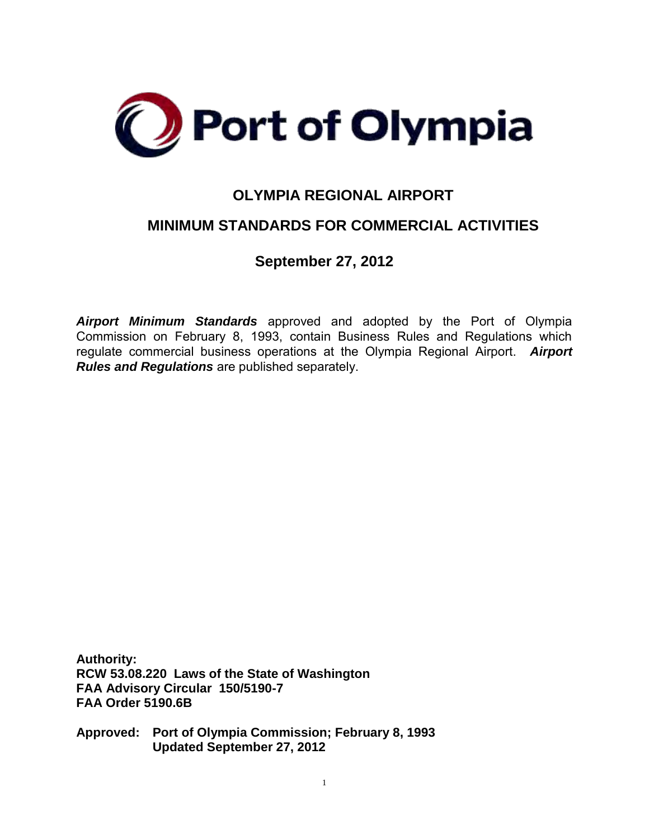

# **OLYMPIA REGIONAL AIRPORT**

# **MINIMUM STANDARDS FOR COMMERCIAL ACTIVITIES**

**September 27, 2012**

*Airport Minimum Standards* approved and adopted by the Port of Olympia Commission on February 8, 1993, contain Business Rules and Regulations which regulate commercial business operations at the Olympia Regional Airport. *Airport Rules and Regulations* are published separately.

**Authority: RCW 53.08.220 Laws of the State of Washington FAA Advisory Circular 150/5190-7 FAA Order 5190.6B** 

**Approved: Port of Olympia Commission; February 8, 1993 Updated September 27, 2012**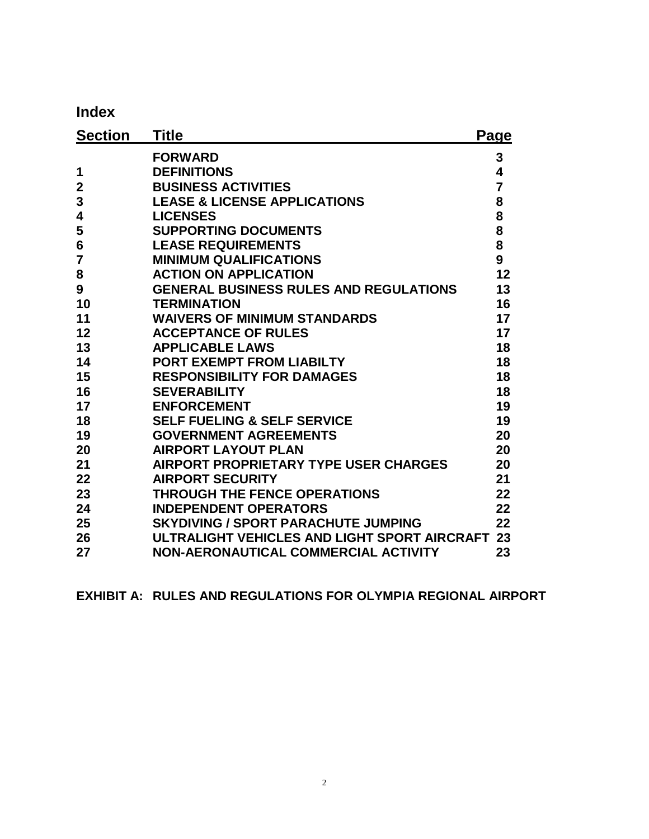**Index**

| <b>Section</b> | Title                                         | Page |
|----------------|-----------------------------------------------|------|
|                | <b>FORWARD</b>                                | 3    |
| 1              | <b>DEFINITIONS</b>                            | 4    |
| $\overline{2}$ | <b>BUSINESS ACTIVITIES</b>                    | 7    |
| 3              | <b>LEASE &amp; LICENSE APPLICATIONS</b>       | 8    |
| 4              | <b>LICENSES</b>                               | 8    |
| 5              | <b>SUPPORTING DOCUMENTS</b>                   | 8    |
| 6              | <b>LEASE REQUIREMENTS</b>                     | 8    |
| $\overline{7}$ | <b>MINIMUM QUALIFICATIONS</b>                 | 9    |
| 8              | <b>ACTION ON APPLICATION</b>                  | 12   |
| 9              | <b>GENERAL BUSINESS RULES AND REGULATIONS</b> | 13   |
| 10             | <b>TERMINATION</b>                            | 16   |
| 11             | <b>WAIVERS OF MINIMUM STANDARDS</b>           | 17   |
| 12             | <b>ACCEPTANCE OF RULES</b>                    | 17   |
| 13             | <b>APPLICABLE LAWS</b>                        | 18   |
| 14             | <b>PORT EXEMPT FROM LIABILTY</b>              | 18   |
| 15             | <b>RESPONSIBILITY FOR DAMAGES</b>             | 18   |
| 16             | <b>SEVERABILITY</b>                           | 18   |
| 17             | <b>ENFORCEMENT</b>                            | 19   |
| 18             | <b>SELF FUELING &amp; SELF SERVICE</b>        | 19   |
| 19             | <b>GOVERNMENT AGREEMENTS</b>                  | 20   |
| 20             | <b>AIRPORT LAYOUT PLAN</b>                    | 20   |
| 21             | <b>AIRPORT PROPRIETARY TYPE USER CHARGES</b>  | 20   |
| 22             | <b>AIRPORT SECURITY</b>                       | 21   |
| 23             | <b>THROUGH THE FENCE OPERATIONS</b>           | 22   |
| 24             | <b>INDEPENDENT OPERATORS</b>                  | 22   |
| 25             | <b>SKYDIVING / SPORT PARACHUTE JUMPING</b>    | 22   |
| 26             | ULTRALIGHT VEHICLES AND LIGHT SPORT AIRCRAFT  | 23   |
| 27             | NON-AERONAUTICAL COMMERCIAL ACTIVITY          | 23   |

**EXHIBIT A: RULES AND REGULATIONS FOR OLYMPIA REGIONAL AIRPORT**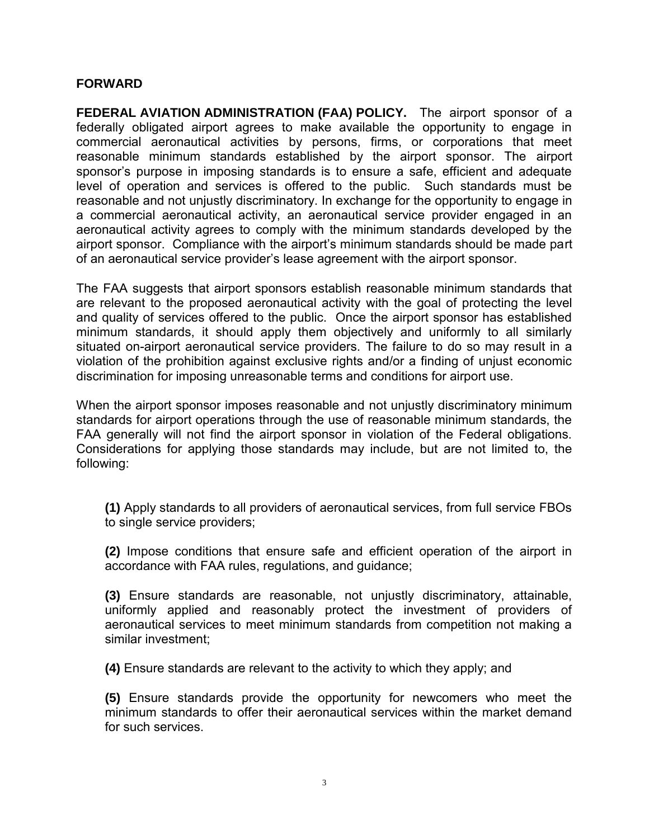#### **FORWARD**

**FEDERAL AVIATION ADMINISTRATION (FAA) POLICY.** The airport sponsor of a federally obligated airport agrees to make available the opportunity to engage in commercial aeronautical activities by persons, firms, or corporations that meet reasonable minimum standards established by the airport sponsor. The airport sponsor's purpose in imposing standards is to ensure a safe, efficient and adequate level of operation and services is offered to the public. Such standards must be reasonable and not unjustly discriminatory. In exchange for the opportunity to engage in a commercial aeronautical activity, an aeronautical service provider engaged in an aeronautical activity agrees to comply with the minimum standards developed by the airport sponsor. Compliance with the airport's minimum standards should be made part of an aeronautical service provider's lease agreement with the airport sponsor.

The FAA suggests that airport sponsors establish reasonable minimum standards that are relevant to the proposed aeronautical activity with the goal of protecting the level and quality of services offered to the public. Once the airport sponsor has established minimum standards, it should apply them objectively and uniformly to all similarly situated on-airport aeronautical service providers. The failure to do so may result in a violation of the prohibition against exclusive rights and/or a finding of unjust economic discrimination for imposing unreasonable terms and conditions for airport use.

When the airport sponsor imposes reasonable and not unjustly discriminatory minimum standards for airport operations through the use of reasonable minimum standards, the FAA generally will not find the airport sponsor in violation of the Federal obligations. Considerations for applying those standards may include, but are not limited to, the following:

**(1)** Apply standards to all providers of aeronautical services, from full service FBOs to single service providers;

**(2)** Impose conditions that ensure safe and efficient operation of the airport in accordance with FAA rules, regulations, and guidance;

**(3)** Ensure standards are reasonable, not unjustly discriminatory, attainable, uniformly applied and reasonably protect the investment of providers of aeronautical services to meet minimum standards from competition not making a similar investment;

**(4)** Ensure standards are relevant to the activity to which they apply; and

**(5)** Ensure standards provide the opportunity for newcomers who meet the minimum standards to offer their aeronautical services within the market demand for such services.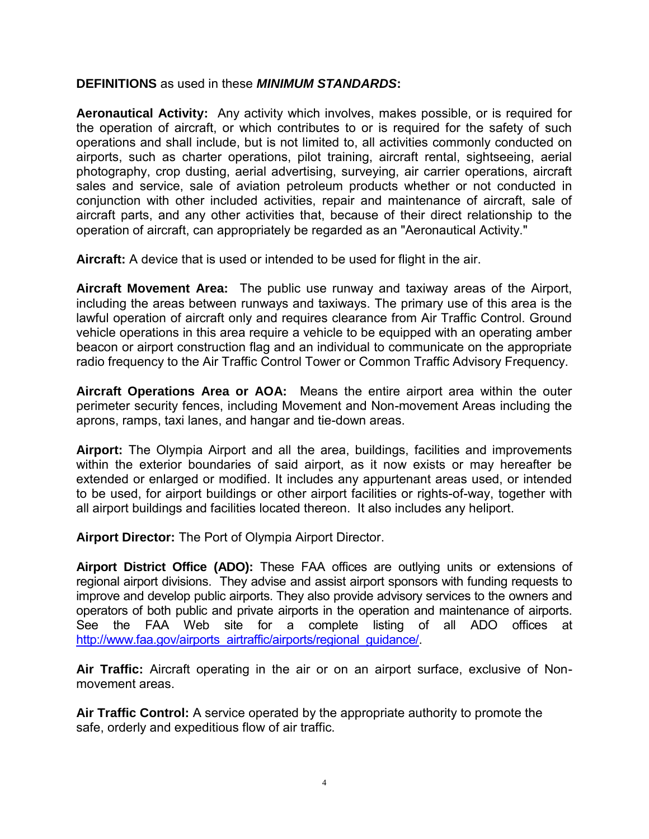## **DEFINITIONS** as used in these *MINIMUM STANDARDS***:**

**Aeronautical Activity:** Any activity which involves, makes possible, or is required for the operation of aircraft, or which contributes to or is required for the safety of such operations and shall include, but is not limited to, all activities commonly conducted on airports, such as charter operations, pilot training, aircraft rental, sightseeing, aerial photography, crop dusting, aerial advertising, surveying, air carrier operations, aircraft sales and service, sale of aviation petroleum products whether or not conducted in conjunction with other included activities, repair and maintenance of aircraft, sale of aircraft parts, and any other activities that, because of their direct relationship to the operation of aircraft, can appropriately be regarded as an "Aeronautical Activity."

**Aircraft:** A device that is used or intended to be used for flight in the air.

**Aircraft Movement Area:**The public use runway and taxiway areas of the Airport, including the areas between runways and taxiways. The primary use of this area is the lawful operation of aircraft only and requires clearance from Air Traffic Control. Ground vehicle operations in this area require a vehicle to be equipped with an operating amber beacon or airport construction flag and an individual to communicate on the appropriate radio frequency to the Air Traffic Control Tower or Common Traffic Advisory Frequency.

**Aircraft Operations Area or AOA:**Means the entire airport area within the outer perimeter security fences, including Movement and Non-movement Areas including the aprons, ramps, taxi lanes, and hangar and tie-down areas.

**Airport:** The Olympia Airport and all the area, buildings, facilities and improvements within the exterior boundaries of said airport, as it now exists or may hereafter be extended or enlarged or modified. It includes any appurtenant areas used, or intended to be used, for airport buildings or other airport facilities or rights-of-way, together with all airport buildings and facilities located thereon. It also includes any heliport.

**Airport Director:** The Port of Olympia Airport Director.

**Airport District Office (ADO):** These FAA offices are outlying units or extensions of regional airport divisions. They advise and assist airport sponsors with funding requests to improve and develop public airports. They also provide advisory services to the owners and operators of both public and private airports in the operation and maintenance of airports. See the FAA Web site for a complete listing of all ADO offices at [http://www.faa.gov/airports\\_airtraffic/airports/regional\\_guidance/.](http://www.faa.gov/airports_airtraffic/airports/regional_guidance/)

**Air Traffic:** Aircraft operating in the air or on an airport surface, exclusive of Nonmovement areas.

**Air Traffic Control:** A service operated by the appropriate authority to promote the safe, orderly and expeditious flow of air traffic.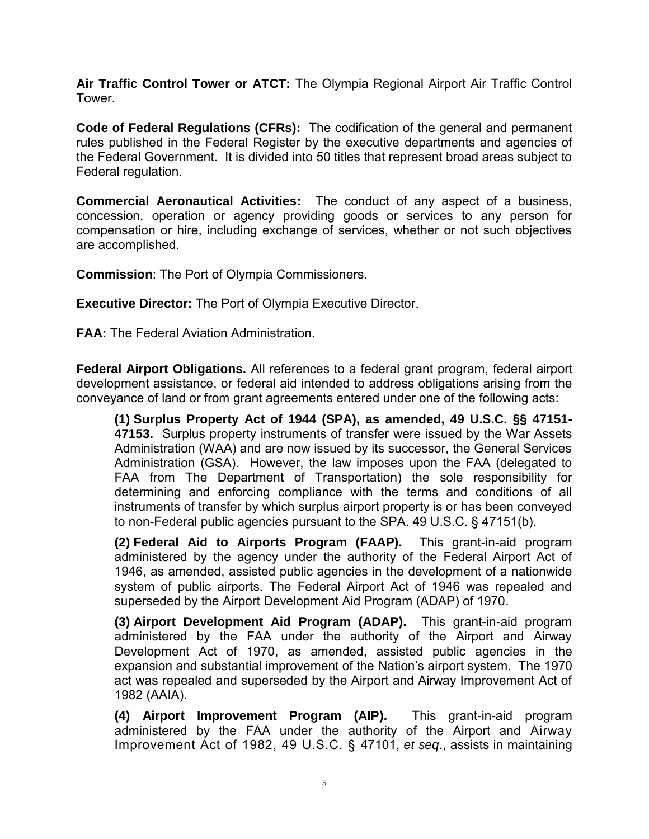**Air Traffic Control Tower or ATCT:** The Olympia Regional Airport Air Traffic Control Tower.

**Code of Federal Regulations (CFRs):** The codification of the general and permanent rules published in the Federal Register by the executive departments and agencies of the Federal Government. It is divided into 50 titles that represent broad areas subject to Federal regulation.

**Commercial Aeronautical Activities:** The conduct of any aspect of a business, concession, operation or agency providing goods or services to any person for compensation or hire, including exchange of services, whether or not such objectives are accomplished.

**Commission**: The Port of Olympia Commissioners.

**Executive Director:** The Port of Olympia Executive Director.

**FAA:** The Federal Aviation Administration.

**Federal Airport Obligations.** All references to a federal grant program, federal airport development assistance, or federal aid intended to address obligations arising from the conveyance of land or from grant agreements entered under one of the following acts:

**(1) Surplus Property Act of 1944 (SPA), as amended, 49 U.S.C. §§ 47151- 47153.** Surplus property instruments of transfer were issued by the War Assets Administration (WAA) and are now issued by its successor, the General Services Administration (GSA). However, the law imposes upon the FAA (delegated to FAA from The Department of Transportation) the sole responsibility for determining and enforcing compliance with the terms and conditions of all instruments of transfer by which surplus airport property is or has been conveyed to non-Federal public agencies pursuant to the SPA. 49 U.S.C. § 47151(b).

**(2) Federal Aid to Airports Program (FAAP).** This grant-in-aid program administered by the agency under the authority of the Federal Airport Act of 1946, as amended, assisted public agencies in the development of a nationwide system of public airports. The Federal Airport Act of 1946 was repealed and superseded by the Airport Development Aid Program (ADAP) of 1970.

**(3) Airport Development Aid Program (ADAP).** This grant-in-aid program administered by the FAA under the authority of the Airport and Airway Development Act of 1970, as amended, assisted public agencies in the expansion and substantial improvement of the Nation's airport system. The 1970 act was repealed and superseded by the Airport and Airway Improvement Act of 1982 (AAIA).

**(4) Airport Improvement Program (AIP).** This grant-in-aid program administered by the FAA under the authority of the Airport and Airway Improvement Act of 1982, 49 U.S.C. § 47101, *et seq*., assists in maintaining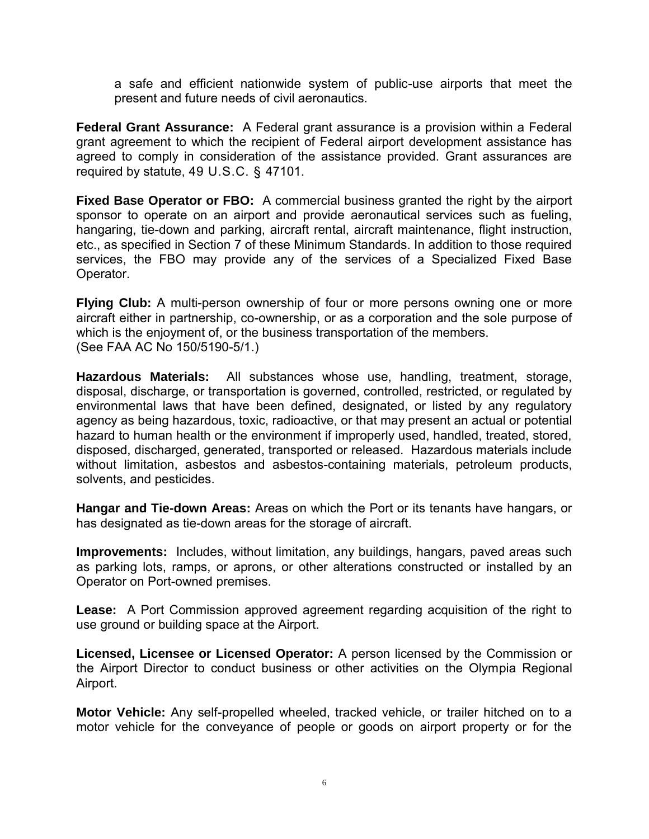a safe and efficient nationwide system of public-use airports that meet the present and future needs of civil aeronautics.

**Federal Grant Assurance:** A Federal grant assurance is a provision within a Federal grant agreement to which the recipient of Federal airport development assistance has agreed to comply in consideration of the assistance provided. Grant assurances are required by statute, 49 U.S.C. § 47101.

**Fixed Base Operator or FBO:** A commercial business granted the right by the airport sponsor to operate on an airport and provide aeronautical services such as fueling, hangaring, tie-down and parking, aircraft rental, aircraft maintenance, flight instruction, etc., as specified in Section 7 of these Minimum Standards. In addition to those required services, the FBO may provide any of the services of a Specialized Fixed Base Operator.

**Flying Club:** A multi-person ownership of four or more persons owning one or more aircraft either in partnership, co-ownership, or as a corporation and the sole purpose of which is the enjoyment of, or the business transportation of the members. (See FAA AC No 150/5190-5/1.)

**Hazardous Materials:** All substances whose use, handling, treatment, storage, disposal, discharge, or transportation is governed, controlled, restricted, or regulated by environmental laws that have been defined, designated, or listed by any regulatory agency as being hazardous, toxic, radioactive, or that may present an actual or potential hazard to human health or the environment if improperly used, handled, treated, stored, disposed, discharged, generated, transported or released. Hazardous materials include without limitation, asbestos and asbestos-containing materials, petroleum products, solvents, and pesticides.

**Hangar and Tie-down Areas:** Areas on which the Port or its tenants have hangars, or has designated as tie-down areas for the storage of aircraft.

**Improvements:** Includes, without limitation, any buildings, hangars, paved areas such as parking lots, ramps, or aprons, or other alterations constructed or installed by an Operator on Port-owned premises.

**Lease:** A Port Commission approved agreement regarding acquisition of the right to use ground or building space at the Airport.

**Licensed, Licensee or Licensed Operator:** A person licensed by the Commission or the Airport Director to conduct business or other activities on the Olympia Regional Airport.

**Motor Vehicle:** Any self-propelled wheeled, tracked vehicle, or trailer hitched on to a motor vehicle for the conveyance of people or goods on airport property or for the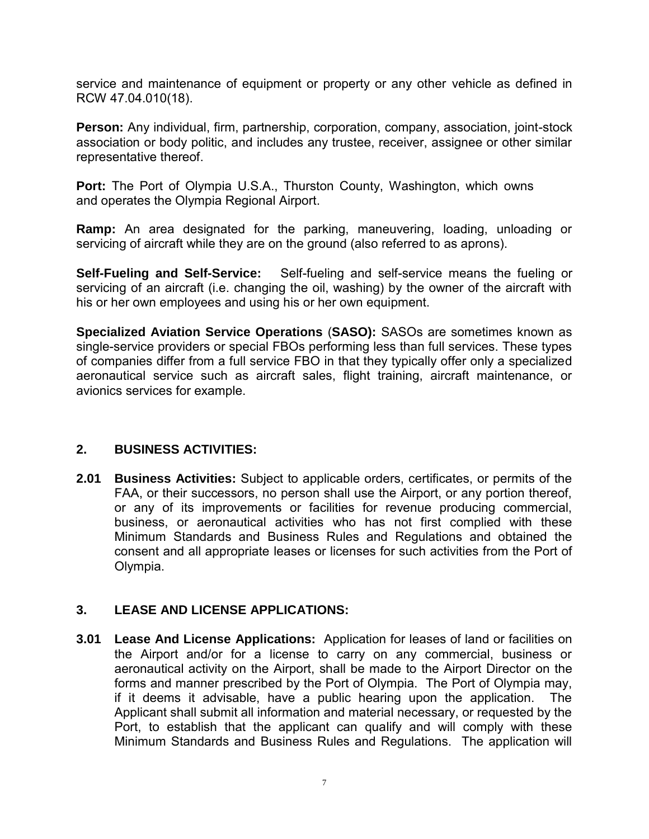service and maintenance of equipment or property or any other vehicle as defined in RCW 47.04.010(18).

**Person:** Any individual, firm, partnership, corporation, company, association, joint-stock association or body politic, and includes any trustee, receiver, assignee or other similar representative thereof.

Port: The Port of Olympia U.S.A., Thurston County, Washington, which owns and operates the Olympia Regional Airport.

**Ramp:** An area designated for the parking, maneuvering, loading, unloading or servicing of aircraft while they are on the ground (also referred to as aprons).

**Self-Fueling and Self-Service:** Self-fueling and self-service means the fueling or servicing of an aircraft (i.e. changing the oil, washing) by the owner of the aircraft with his or her own employees and using his or her own equipment.

**Specialized Aviation Service Operations** (**SASO):** SASOs are sometimes known as single-service providers or special FBOs performing less than full services. These types of companies differ from a full service FBO in that they typically offer only a specialized aeronautical service such as aircraft sales, flight training, aircraft maintenance, or avionics services for example.

## **2. BUSINESS ACTIVITIES:**

**2.01 Business Activities:** Subject to applicable orders, certificates, or permits of the FAA, or their successors, no person shall use the Airport, or any portion thereof, or any of its improvements or facilities for revenue producing commercial, business, or aeronautical activities who has not first complied with these Minimum Standards and Business Rules and Regulations and obtained the consent and all appropriate leases or licenses for such activities from the Port of Olympia.

# **3. LEASE AND LICENSE APPLICATIONS:**

**3.01 Lease And License Applications:** Application for leases of land or facilities on the Airport and/or for a license to carry on any commercial, business or aeronautical activity on the Airport, shall be made to the Airport Director on the forms and manner prescribed by the Port of Olympia. The Port of Olympia may, if it deems it advisable, have a public hearing upon the application. The Applicant shall submit all information and material necessary, or requested by the Port, to establish that the applicant can qualify and will comply with these Minimum Standards and Business Rules and Regulations. The application will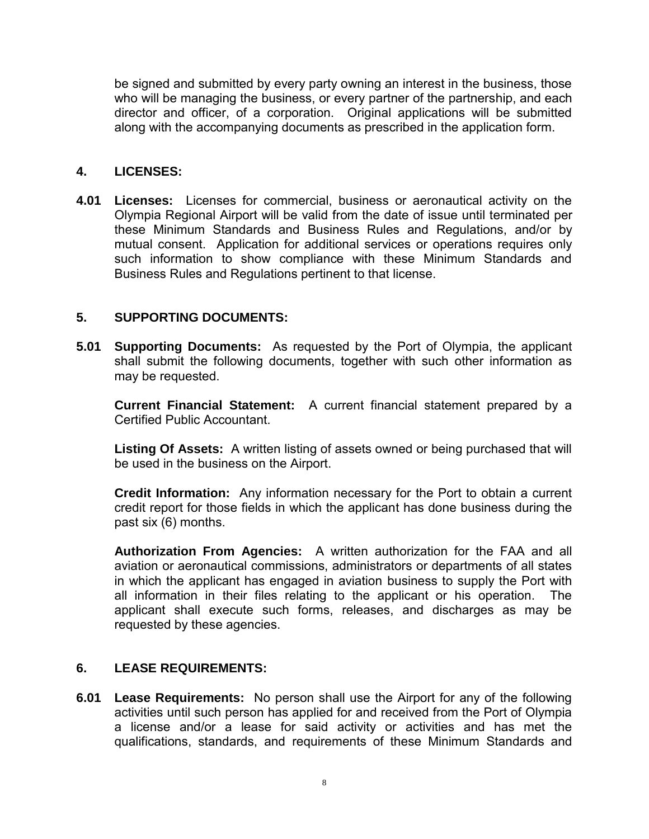be signed and submitted by every party owning an interest in the business, those who will be managing the business, or every partner of the partnership, and each director and officer, of a corporation. Original applications will be submitted along with the accompanying documents as prescribed in the application form.

## **4. LICENSES:**

**4.01 Licenses:** Licenses for commercial, business or aeronautical activity on the Olympia Regional Airport will be valid from the date of issue until terminated per these Minimum Standards and Business Rules and Regulations, and/or by mutual consent. Application for additional services or operations requires only such information to show compliance with these Minimum Standards and Business Rules and Regulations pertinent to that license.

## **5. SUPPORTING DOCUMENTS:**

**5.01 Supporting Documents:** As requested by the Port of Olympia, the applicant shall submit the following documents, together with such other information as may be requested.

**Current Financial Statement:** A current financial statement prepared by a Certified Public Accountant.

**Listing Of Assets:** A written listing of assets owned or being purchased that will be used in the business on the Airport.

**Credit Information:** Any information necessary for the Port to obtain a current credit report for those fields in which the applicant has done business during the past six (6) months.

**Authorization From Agencies:** A written authorization for the FAA and all aviation or aeronautical commissions, administrators or departments of all states in which the applicant has engaged in aviation business to supply the Port with all information in their files relating to the applicant or his operation. The applicant shall execute such forms, releases, and discharges as may be requested by these agencies.

## **6. LEASE REQUIREMENTS:**

**6.01 Lease Requirements:** No person shall use the Airport for any of the following activities until such person has applied for and received from the Port of Olympia a license and/or a lease for said activity or activities and has met the qualifications, standards, and requirements of these Minimum Standards and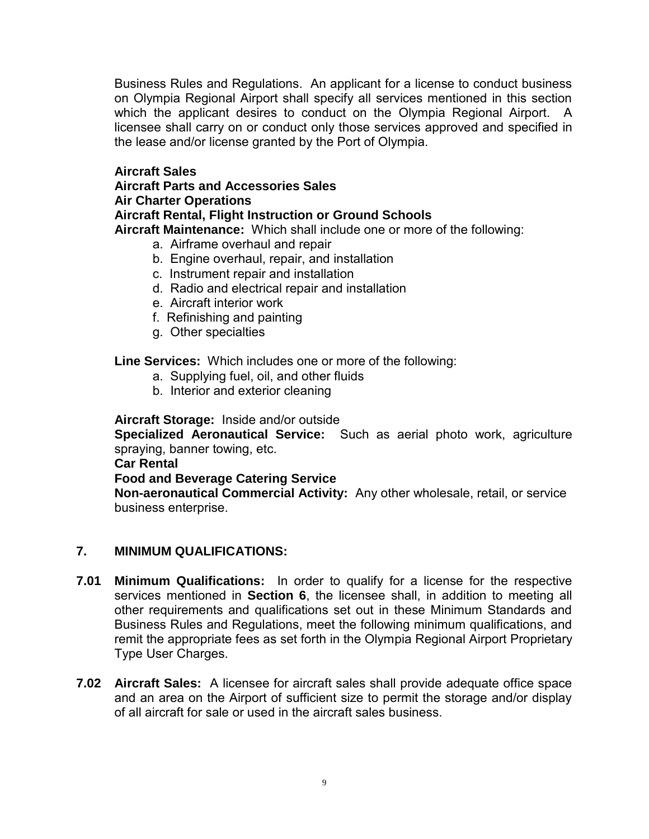Business Rules and Regulations. An applicant for a license to conduct business on Olympia Regional Airport shall specify all services mentioned in this section which the applicant desires to conduct on the Olympia Regional Airport. A licensee shall carry on or conduct only those services approved and specified in the lease and/or license granted by the Port of Olympia.

## **Aircraft Sales**

#### **Aircraft Parts and Accessories Sales Air Charter Operations**

## **Aircraft Rental, Flight Instruction or Ground Schools**

 **Aircraft Maintenance:** Which shall include one or more of the following:

- a. Airframe overhaul and repair
- b. Engine overhaul, repair, and installation
- c. Instrument repair and installation
- d. Radio and electrical repair and installation
- e. Aircraft interior work
- f. Refinishing and painting
- g. Other specialties

**Line Services:** Which includes one or more of the following:

- a. Supplying fuel, oil, and other fluids
- b. Interior and exterior cleaning

## **Aircraft Storage:** Inside and/or outside

**Specialized Aeronautical Service:** Such as aerial photo work, agriculture spraying, banner towing, etc.

## **Car Rental**

## **Food and Beverage Catering Service**

 **Non-aeronautical Commercial Activity:** Any other wholesale, retail, or service business enterprise.

## **7. MINIMUM QUALIFICATIONS:**

- **7.01 Minimum Qualifications:** In order to qualify for a license for the respective services mentioned in **Section 6**, the licensee shall, in addition to meeting all other requirements and qualifications set out in these Minimum Standards and Business Rules and Regulations, meet the following minimum qualifications, and remit the appropriate fees as set forth in the Olympia Regional Airport Proprietary Type User Charges.
- **7.02 Aircraft Sales:** A licensee for aircraft sales shall provide adequate office space and an area on the Airport of sufficient size to permit the storage and/or display of all aircraft for sale or used in the aircraft sales business.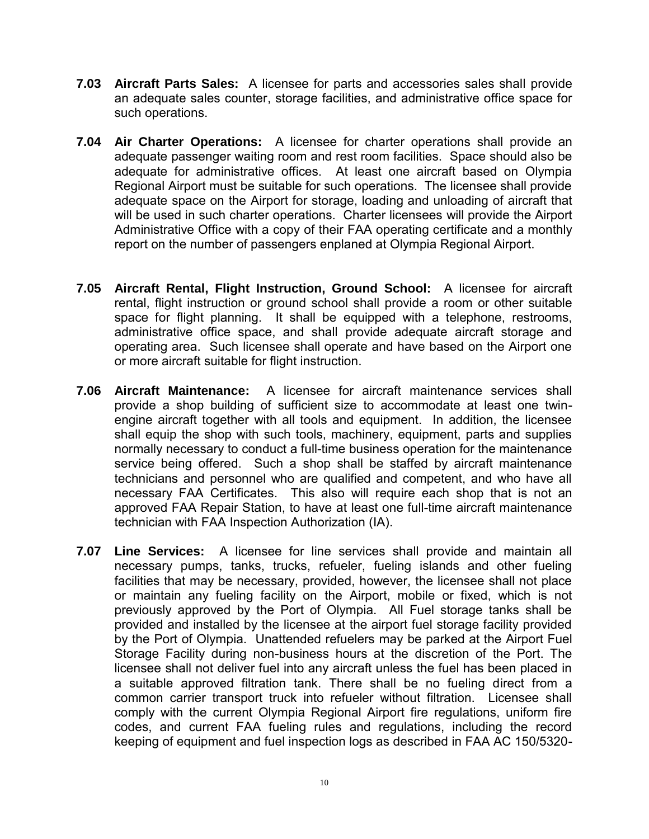- **7.03 Aircraft Parts Sales:** A licensee for parts and accessories sales shall provide an adequate sales counter, storage facilities, and administrative office space for such operations.
- **7.04 Air Charter Operations:** A licensee for charter operations shall provide an adequate passenger waiting room and rest room facilities. Space should also be adequate for administrative offices. At least one aircraft based on Olympia Regional Airport must be suitable for such operations. The licensee shall provide adequate space on the Airport for storage, loading and unloading of aircraft that will be used in such charter operations. Charter licensees will provide the Airport Administrative Office with a copy of their FAA operating certificate and a monthly report on the number of passengers enplaned at Olympia Regional Airport.
- **7.05 Aircraft Rental, Flight Instruction, Ground School:** A licensee for aircraft rental, flight instruction or ground school shall provide a room or other suitable space for flight planning. It shall be equipped with a telephone, restrooms, administrative office space, and shall provide adequate aircraft storage and operating area. Such licensee shall operate and have based on the Airport one or more aircraft suitable for flight instruction.
- **7.06 Aircraft Maintenance:** A licensee for aircraft maintenance services shall provide a shop building of sufficient size to accommodate at least one twinengine aircraft together with all tools and equipment. In addition, the licensee shall equip the shop with such tools, machinery, equipment, parts and supplies normally necessary to conduct a full-time business operation for the maintenance service being offered. Such a shop shall be staffed by aircraft maintenance technicians and personnel who are qualified and competent, and who have all necessary FAA Certificates. This also will require each shop that is not an approved FAA Repair Station, to have at least one full-time aircraft maintenance technician with FAA Inspection Authorization (IA).
- **7.07 Line Services:** A licensee for line services shall provide and maintain all necessary pumps, tanks, trucks, refueler, fueling islands and other fueling facilities that may be necessary, provided, however, the licensee shall not place or maintain any fueling facility on the Airport, mobile or fixed, which is not previously approved by the Port of Olympia. All Fuel storage tanks shall be provided and installed by the licensee at the airport fuel storage facility provided by the Port of Olympia. Unattended refuelers may be parked at the Airport Fuel Storage Facility during non-business hours at the discretion of the Port. The licensee shall not deliver fuel into any aircraft unless the fuel has been placed in a suitable approved filtration tank. There shall be no fueling direct from a common carrier transport truck into refueler without filtration. Licensee shall comply with the current Olympia Regional Airport fire regulations, uniform fire codes, and current FAA fueling rules and regulations, including the record keeping of equipment and fuel inspection logs as described in FAA AC 150/5320-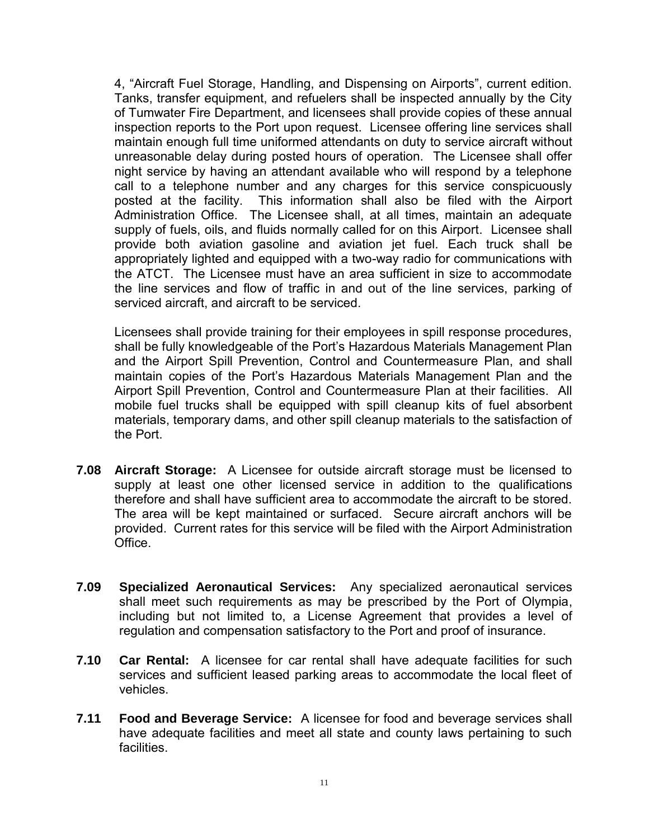4, "Aircraft Fuel Storage, Handling, and Dispensing on Airports", current edition. Tanks, transfer equipment, and refuelers shall be inspected annually by the City of Tumwater Fire Department, and licensees shall provide copies of these annual inspection reports to the Port upon request. Licensee offering line services shall maintain enough full time uniformed attendants on duty to service aircraft without unreasonable delay during posted hours of operation. The Licensee shall offer night service by having an attendant available who will respond by a telephone call to a telephone number and any charges for this service conspicuously posted at the facility. This information shall also be filed with the Airport Administration Office. The Licensee shall, at all times, maintain an adequate supply of fuels, oils, and fluids normally called for on this Airport. Licensee shall provide both aviation gasoline and aviation jet fuel. Each truck shall be appropriately lighted and equipped with a two-way radio for communications with the ATCT. The Licensee must have an area sufficient in size to accommodate the line services and flow of traffic in and out of the line services, parking of serviced aircraft, and aircraft to be serviced.

Licensees shall provide training for their employees in spill response procedures, shall be fully knowledgeable of the Port's Hazardous Materials Management Plan and the Airport Spill Prevention, Control and Countermeasure Plan, and shall maintain copies of the Port's Hazardous Materials Management Plan and the Airport Spill Prevention, Control and Countermeasure Plan at their facilities. All mobile fuel trucks shall be equipped with spill cleanup kits of fuel absorbent materials, temporary dams, and other spill cleanup materials to the satisfaction of the Port.

- **7.08 Aircraft Storage:** A Licensee for outside aircraft storage must be licensed to supply at least one other licensed service in addition to the qualifications therefore and shall have sufficient area to accommodate the aircraft to be stored. The area will be kept maintained or surfaced. Secure aircraft anchors will be provided. Current rates for this service will be filed with the Airport Administration Office.
- **7.09 Specialized Aeronautical Services:** Any specialized aeronautical services shall meet such requirements as may be prescribed by the Port of Olympia, including but not limited to, a License Agreement that provides a level of regulation and compensation satisfactory to the Port and proof of insurance.
- **7.10 Car Rental:** A licensee for car rental shall have adequate facilities for such services and sufficient leased parking areas to accommodate the local fleet of vehicles.
- **7.11 Food and Beverage Service:** A licensee for food and beverage services shall have adequate facilities and meet all state and county laws pertaining to such facilities.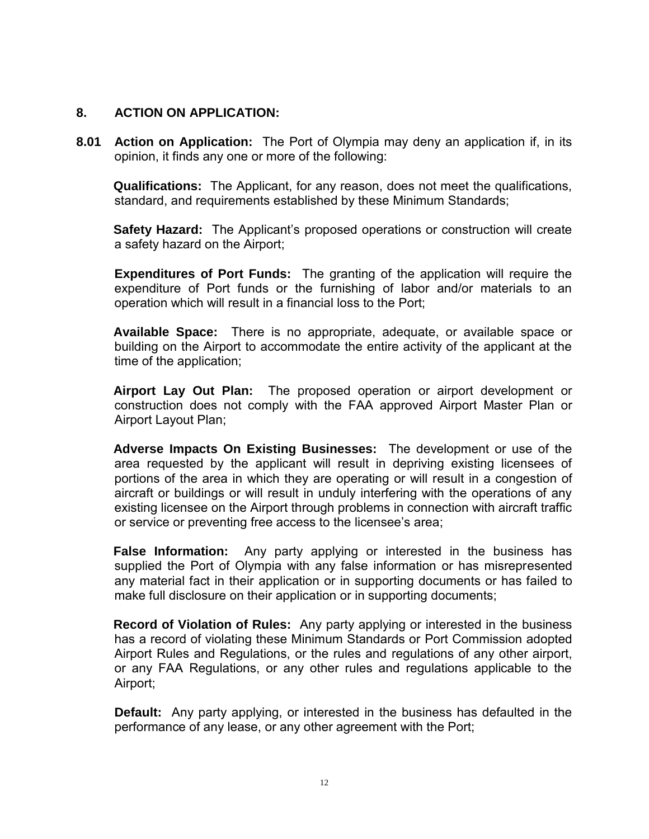## **8. ACTION ON APPLICATION:**

**8.01 Action on Application:** The Port of Olympia may deny an application if, in its opinion, it finds any one or more of the following:

**Qualifications:** The Applicant, for any reason, does not meet the qualifications, standard, and requirements established by these Minimum Standards;

**Safety Hazard:** The Applicant's proposed operations or construction will create a safety hazard on the Airport;

**Expenditures of Port Funds:** The granting of the application will require the expenditure of Port funds or the furnishing of labor and/or materials to an operation which will result in a financial loss to the Port;

**Available Space:** There is no appropriate, adequate, or available space or building on the Airport to accommodate the entire activity of the applicant at the time of the application;

**Airport Lay Out Plan:** The proposed operation or airport development or construction does not comply with the FAA approved Airport Master Plan or Airport Layout Plan;

**Adverse Impacts On Existing Businesses:** The development or use of the area requested by the applicant will result in depriving existing licensees of portions of the area in which they are operating or will result in a congestion of aircraft or buildings or will result in unduly interfering with the operations of any existing licensee on the Airport through problems in connection with aircraft traffic or service or preventing free access to the licensee's area;

**False Information:** Any party applying or interested in the business has supplied the Port of Olympia with any false information or has misrepresented any material fact in their application or in supporting documents or has failed to make full disclosure on their application or in supporting documents;

**Record of Violation of Rules:** Any party applying or interested in the business has a record of violating these Minimum Standards or Port Commission adopted Airport Rules and Regulations, or the rules and regulations of any other airport, or any FAA Regulations, or any other rules and regulations applicable to the Airport;

**Default:** Any party applying, or interested in the business has defaulted in the performance of any lease, or any other agreement with the Port;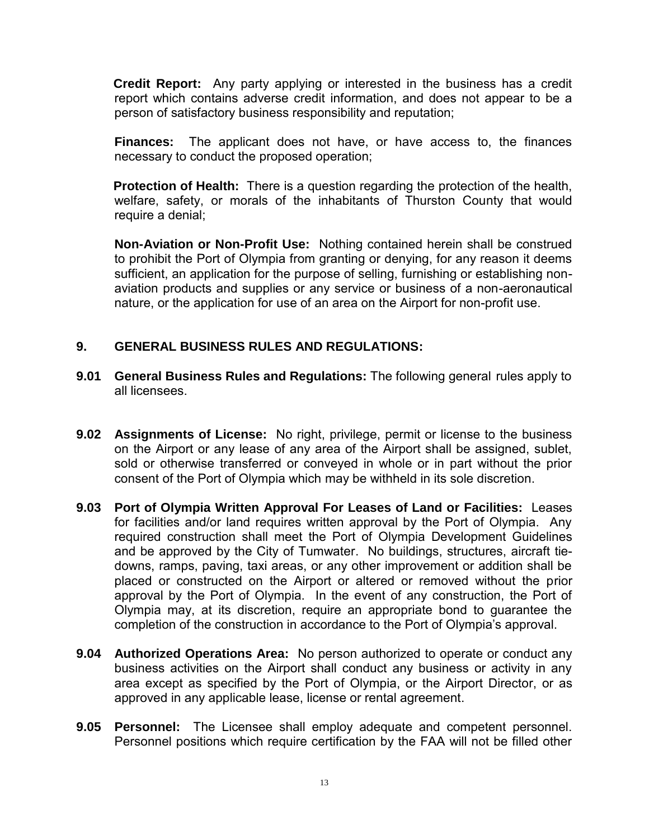**Credit Report:** Any party applying or interested in the business has a credit report which contains adverse credit information, and does not appear to be a person of satisfactory business responsibility and reputation;

**Finances:** The applicant does not have, or have access to, the finances necessary to conduct the proposed operation;

**Protection of Health:** There is a question regarding the protection of the health, welfare, safety, or morals of the inhabitants of Thurston County that would require a denial;

**Non-Aviation or Non-Profit Use:** Nothing contained herein shall be construed to prohibit the Port of Olympia from granting or denying, for any reason it deems sufficient, an application for the purpose of selling, furnishing or establishing nonaviation products and supplies or any service or business of a non-aeronautical nature, or the application for use of an area on the Airport for non-profit use.

## **9. GENERAL BUSINESS RULES AND REGULATIONS:**

- **9.01 General Business Rules and Regulations:** The following general rules apply to all licensees.
- **9.02 Assignments of License:** No right, privilege, permit or license to the business on the Airport or any lease of any area of the Airport shall be assigned, sublet, sold or otherwise transferred or conveyed in whole or in part without the prior consent of the Port of Olympia which may be withheld in its sole discretion.
- **9.03 Port of Olympia Written Approval For Leases of Land or Facilities:** Leases for facilities and/or land requires written approval by the Port of Olympia. Any required construction shall meet the Port of Olympia Development Guidelines and be approved by the City of Tumwater. No buildings, structures, aircraft tiedowns, ramps, paving, taxi areas, or any other improvement or addition shall be placed or constructed on the Airport or altered or removed without the prior approval by the Port of Olympia. In the event of any construction, the Port of Olympia may, at its discretion, require an appropriate bond to guarantee the completion of the construction in accordance to the Port of Olympia's approval.
- **9.04 Authorized Operations Area:** No person authorized to operate or conduct any business activities on the Airport shall conduct any business or activity in any area except as specified by the Port of Olympia, or the Airport Director, or as approved in any applicable lease, license or rental agreement.
- **9.05 Personnel:** The Licensee shall employ adequate and competent personnel. Personnel positions which require certification by the FAA will not be filled other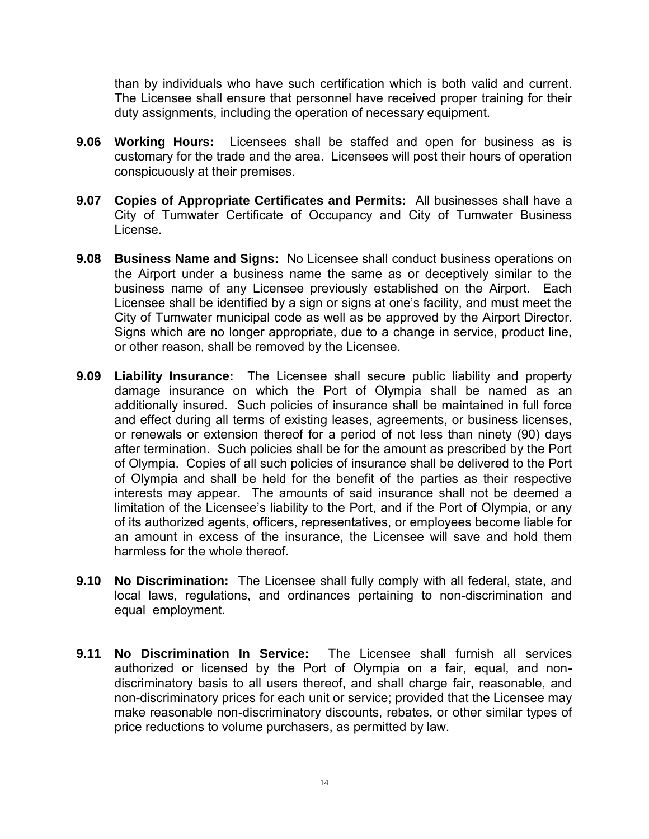than by individuals who have such certification which is both valid and current. The Licensee shall ensure that personnel have received proper training for their duty assignments, including the operation of necessary equipment.

- **9.06 Working Hours:** Licensees shall be staffed and open for business as is customary for the trade and the area. Licensees will post their hours of operation conspicuously at their premises.
- **9.07 Copies of Appropriate Certificates and Permits:** All businesses shall have a City of Tumwater Certificate of Occupancy and City of Tumwater Business License.
- **9.08 Business Name and Signs:** No Licensee shall conduct business operations on the Airport under a business name the same as or deceptively similar to the business name of any Licensee previously established on the Airport. Each Licensee shall be identified by a sign or signs at one's facility, and must meet the City of Tumwater municipal code as well as be approved by the Airport Director. Signs which are no longer appropriate, due to a change in service, product line, or other reason, shall be removed by the Licensee.
- **9.09 Liability Insurance:** The Licensee shall secure public liability and property damage insurance on which the Port of Olympia shall be named as an additionally insured. Such policies of insurance shall be maintained in full force and effect during all terms of existing leases, agreements, or business licenses, or renewals or extension thereof for a period of not less than ninety (90) days after termination. Such policies shall be for the amount as prescribed by the Port of Olympia. Copies of all such policies of insurance shall be delivered to the Port of Olympia and shall be held for the benefit of the parties as their respective interests may appear. The amounts of said insurance shall not be deemed a limitation of the Licensee's liability to the Port, and if the Port of Olympia, or any of its authorized agents, officers, representatives, or employees become liable for an amount in excess of the insurance, the Licensee will save and hold them harmless for the whole thereof.
- **9.10 No Discrimination:** The Licensee shall fully comply with all federal, state, and local laws, regulations, and ordinances pertaining to non-discrimination and equal employment.
- **9.11 No Discrimination In Service:** The Licensee shall furnish all services authorized or licensed by the Port of Olympia on a fair, equal, and nondiscriminatory basis to all users thereof, and shall charge fair, reasonable, and non-discriminatory prices for each unit or service; provided that the Licensee may make reasonable non-discriminatory discounts, rebates, or other similar types of price reductions to volume purchasers, as permitted by law.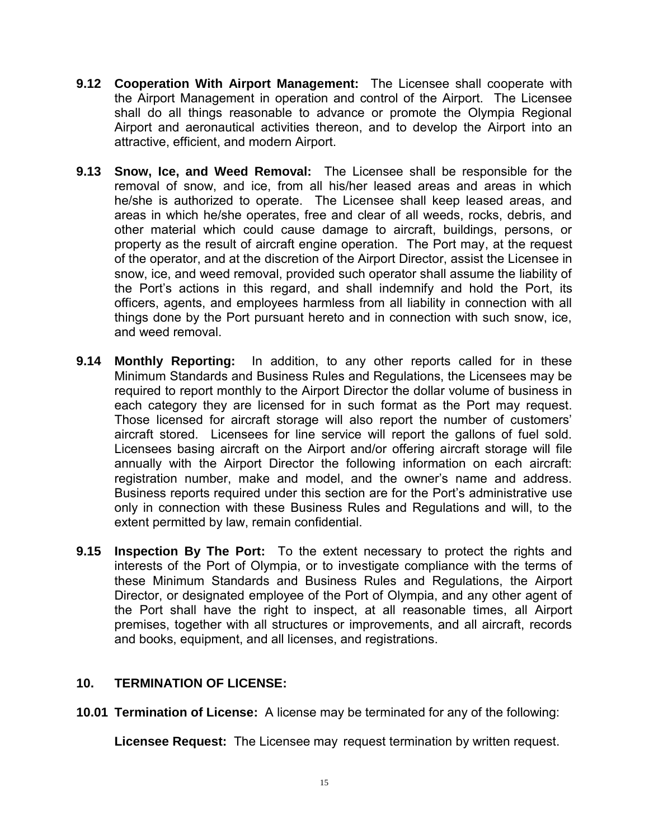- **9.12 Cooperation With Airport Management:** The Licensee shall cooperate with the Airport Management in operation and control of the Airport. The Licensee shall do all things reasonable to advance or promote the Olympia Regional Airport and aeronautical activities thereon, and to develop the Airport into an attractive, efficient, and modern Airport.
- **9.13 Snow, Ice, and Weed Removal:** The Licensee shall be responsible for the removal of snow, and ice, from all his/her leased areas and areas in which he/she is authorized to operate. The Licensee shall keep leased areas, and areas in which he/she operates, free and clear of all weeds, rocks, debris, and other material which could cause damage to aircraft, buildings, persons, or property as the result of aircraft engine operation. The Port may, at the request of the operator, and at the discretion of the Airport Director, assist the Licensee in snow, ice, and weed removal, provided such operator shall assume the liability of the Port's actions in this regard, and shall indemnify and hold the Port, its officers, agents, and employees harmless from all liability in connection with all things done by the Port pursuant hereto and in connection with such snow, ice, and weed removal.
- **9.14 Monthly Reporting:** In addition, to any other reports called for in these Minimum Standards and Business Rules and Regulations, the Licensees may be required to report monthly to the Airport Director the dollar volume of business in each category they are licensed for in such format as the Port may request. Those licensed for aircraft storage will also report the number of customers' aircraft stored. Licensees for line service will report the gallons of fuel sold. Licensees basing aircraft on the Airport and/or offering aircraft storage will file annually with the Airport Director the following information on each aircraft: registration number, make and model, and the owner's name and address. Business reports required under this section are for the Port's administrative use only in connection with these Business Rules and Regulations and will, to the extent permitted by law, remain confidential.
- **9.15 Inspection By The Port:** To the extent necessary to protect the rights and interests of the Port of Olympia, or to investigate compliance with the terms of these Minimum Standards and Business Rules and Regulations, the Airport Director, or designated employee of the Port of Olympia, and any other agent of the Port shall have the right to inspect, at all reasonable times, all Airport premises, together with all structures or improvements, and all aircraft, records and books, equipment, and all licenses, and registrations.

## **10. TERMINATION OF LICENSE:**

**10.01 Termination of License:** A license may be terminated for any of the following:

**Licensee Request:** The Licensee may request termination by written request.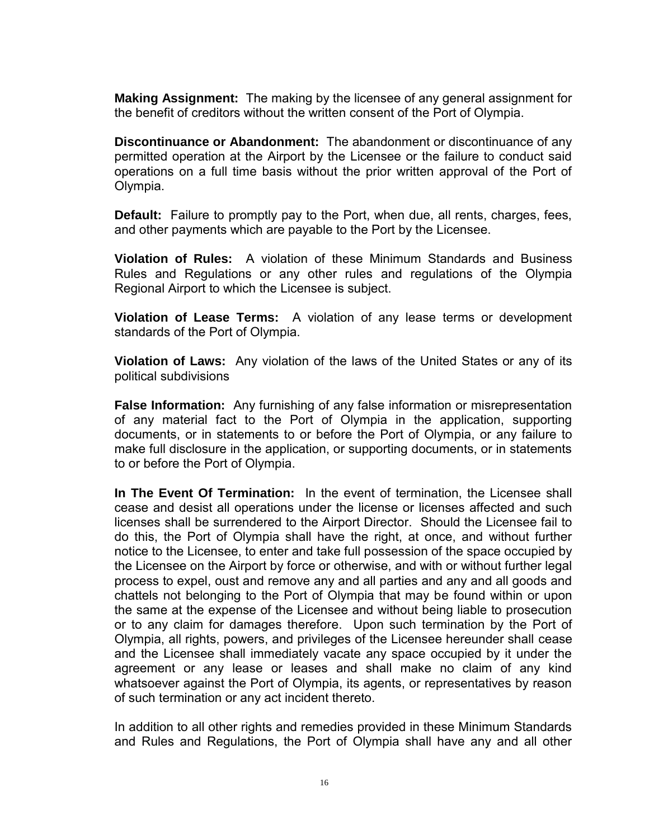**Making Assignment:** The making by the licensee of any general assignment for the benefit of creditors without the written consent of the Port of Olympia.

 **Discontinuance or Abandonment:** The abandonment or discontinuance of any permitted operation at the Airport by the Licensee or the failure to conduct said operations on a full time basis without the prior written approval of the Port of Olympia.

**Default:** Failure to promptly pay to the Port, when due, all rents, charges, fees, and other payments which are payable to the Port by the Licensee.

**Violation of Rules:** A violation of these Minimum Standards and Business Rules and Regulations or any other rules and regulations of the Olympia Regional Airport to which the Licensee is subject.

**Violation of Lease Terms:** A violation of any lease terms or development standards of the Port of Olympia.

**Violation of Laws:** Any violation of the laws of the United States or any of its political subdivisions

**False Information:** Any furnishing of any false information or misrepresentation of any material fact to the Port of Olympia in the application, supporting documents, or in statements to or before the Port of Olympia, or any failure to make full disclosure in the application, or supporting documents, or in statements to or before the Port of Olympia.

**In The Event Of Termination:** In the event of termination, the Licensee shall cease and desist all operations under the license or licenses affected and such licenses shall be surrendered to the Airport Director. Should the Licensee fail to do this, the Port of Olympia shall have the right, at once, and without further notice to the Licensee, to enter and take full possession of the space occupied by the Licensee on the Airport by force or otherwise, and with or without further legal process to expel, oust and remove any and all parties and any and all goods and chattels not belonging to the Port of Olympia that may be found within or upon the same at the expense of the Licensee and without being liable to prosecution or to any claim for damages therefore. Upon such termination by the Port of Olympia, all rights, powers, and privileges of the Licensee hereunder shall cease and the Licensee shall immediately vacate any space occupied by it under the agreement or any lease or leases and shall make no claim of any kind whatsoever against the Port of Olympia, its agents, or representatives by reason of such termination or any act incident thereto.

In addition to all other rights and remedies provided in these Minimum Standards and Rules and Regulations, the Port of Olympia shall have any and all other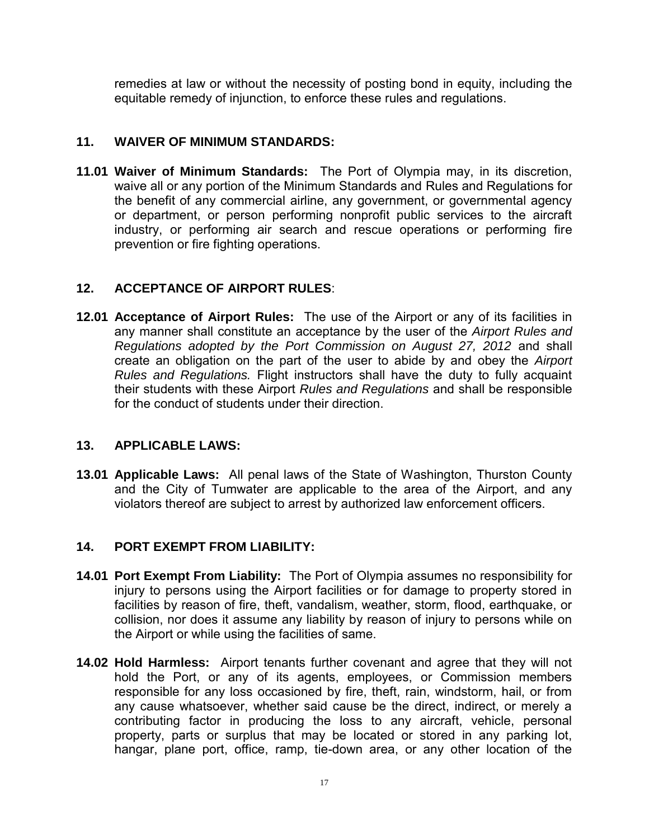remedies at law or without the necessity of posting bond in equity, including the equitable remedy of injunction, to enforce these rules and regulations.

## **11. WAIVER OF MINIMUM STANDARDS:**

**11.01 Waiver of Minimum Standards:** The Port of Olympia may, in its discretion, waive all or any portion of the Minimum Standards and Rules and Regulations for the benefit of any commercial airline, any government, or governmental agency or department, or person performing nonprofit public services to the aircraft industry, or performing air search and rescue operations or performing fire prevention or fire fighting operations.

## **12. ACCEPTANCE OF AIRPORT RULES**:

**12.01 Acceptance of Airport Rules:** The use of the Airport or any of its facilities in any manner shall constitute an acceptance by the user of the *Airport Rules and Regulations adopted by the Port Commission on August 27, 2012* and shall create an obligation on the part of the user to abide by and obey the *Airport Rules and Regulations.* Flight instructors shall have the duty to fully acquaint their students with these Airport *Rules and Regulations* and shall be responsible for the conduct of students under their direction.

## **13. APPLICABLE LAWS:**

**13.01 Applicable Laws:** All penal laws of the State of Washington, Thurston County and the City of Tumwater are applicable to the area of the Airport, and any violators thereof are subject to arrest by authorized law enforcement officers.

## **14. PORT EXEMPT FROM LIABILITY:**

- **14.01 Port Exempt From Liability:** The Port of Olympia assumes no responsibility for injury to persons using the Airport facilities or for damage to property stored in facilities by reason of fire, theft, vandalism, weather, storm, flood, earthquake, or collision, nor does it assume any liability by reason of injury to persons while on the Airport or while using the facilities of same.
- **14.02 Hold Harmless:** Airport tenants further covenant and agree that they will not hold the Port, or any of its agents, employees, or Commission members responsible for any loss occasioned by fire, theft, rain, windstorm, hail, or from any cause whatsoever, whether said cause be the direct, indirect, or merely a contributing factor in producing the loss to any aircraft, vehicle, personal property, parts or surplus that may be located or stored in any parking lot, hangar, plane port, office, ramp, tie-down area, or any other location of the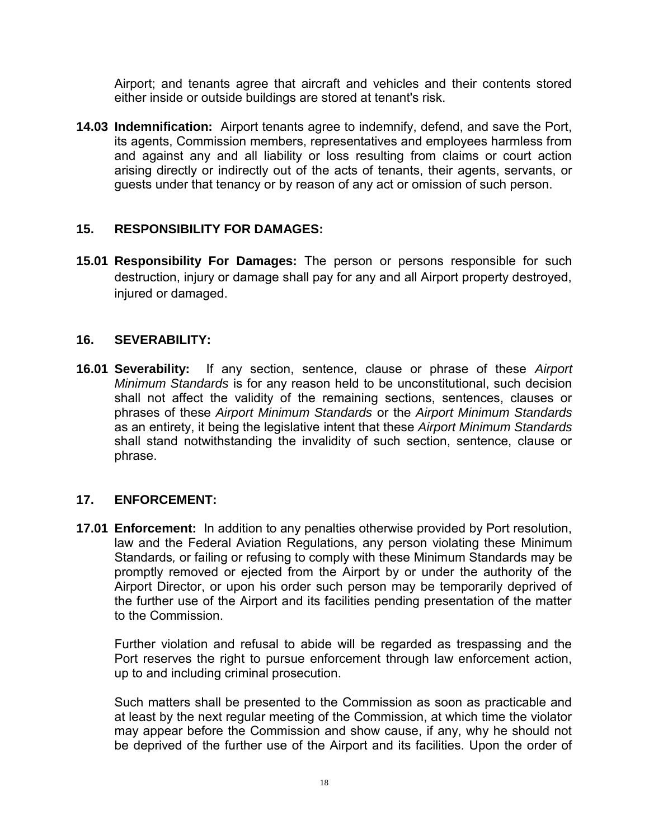Airport; and tenants agree that aircraft and vehicles and their contents stored either inside or outside buildings are stored at tenant's risk.

**14.03 Indemnification:** Airport tenants agree to indemnify, defend, and save the Port, its agents, Commission members, representatives and employees harmless from and against any and all liability or loss resulting from claims or court action arising directly or indirectly out of the acts of tenants, their agents, servants, or guests under that tenancy or by reason of any act or omission of such person.

## **15. RESPONSIBILITY FOR DAMAGES:**

**15.01 Responsibility For Damages:** The person or persons responsible for such destruction, injury or damage shall pay for any and all Airport property destroyed, injured or damaged.

## **16. SEVERABILITY:**

**16.01 Severability:** If any section, sentence, clause or phrase of these *Airport Minimum Standards* is for any reason held to be unconstitutional, such decision shall not affect the validity of the remaining sections, sentences, clauses or phrases of these *Airport Minimum Standards* or the *Airport Minimum Standards*  as an entirety, it being the legislative intent that these *Airport Minimum Standards*  shall stand notwithstanding the invalidity of such section, sentence, clause or phrase.

## **17. ENFORCEMENT:**

**17.01 Enforcement:** In addition to any penalties otherwise provided by Port resolution, law and the Federal Aviation Regulations, any person violating these Minimum Standards*,* or failing or refusing to comply with these Minimum Standards may be promptly removed or ejected from the Airport by or under the authority of the Airport Director, or upon his order such person may be temporarily deprived of the further use of the Airport and its facilities pending presentation of the matter to the Commission.

 Further violation and refusal to abide will be regarded as trespassing and the Port reserves the right to pursue enforcement through law enforcement action, up to and including criminal prosecution.

Such matters shall be presented to the Commission as soon as practicable and at least by the next regular meeting of the Commission, at which time the violator may appear before the Commission and show cause, if any, why he should not be deprived of the further use of the Airport and its facilities. Upon the order of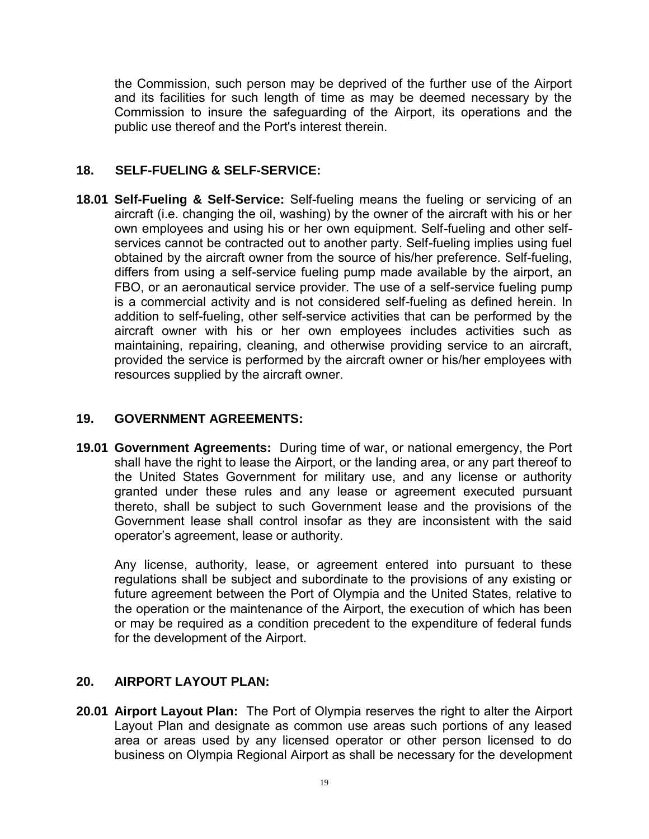the Commission, such person may be deprived of the further use of the Airport and its facilities for such length of time as may be deemed necessary by the Commission to insure the safeguarding of the Airport, its operations and the public use thereof and the Port's interest therein.

## **18. SELF-FUELING & SELF-SERVICE:**

**18.01 Self-Fueling & Self-Service:** Self-fueling means the fueling or servicing of an aircraft (i.e. changing the oil, washing) by the owner of the aircraft with his or her own employees and using his or her own equipment. Self-fueling and other selfservices cannot be contracted out to another party. Self-fueling implies using fuel obtained by the aircraft owner from the source of his/her preference. Self-fueling, differs from using a self-service fueling pump made available by the airport, an FBO, or an aeronautical service provider. The use of a self-service fueling pump is a commercial activity and is not considered self-fueling as defined herein. In addition to self-fueling, other self-service activities that can be performed by the aircraft owner with his or her own employees includes activities such as maintaining, repairing, cleaning, and otherwise providing service to an aircraft, provided the service is performed by the aircraft owner or his/her employees with resources supplied by the aircraft owner.

#### **19. GOVERNMENT AGREEMENTS:**

**19.01 Government Agreements:** During time of war, or national emergency, the Port shall have the right to lease the Airport, or the landing area, or any part thereof to the United States Government for military use, and any license or authority granted under these rules and any lease or agreement executed pursuant thereto, shall be subject to such Government lease and the provisions of the Government lease shall control insofar as they are inconsistent with the said operator's agreement, lease or authority.

Any license, authority, lease, or agreement entered into pursuant to these regulations shall be subject and subordinate to the provisions of any existing or future agreement between the Port of Olympia and the United States, relative to the operation or the maintenance of the Airport, the execution of which has been or may be required as a condition precedent to the expenditure of federal funds for the development of the Airport.

# **20. AIRPORT LAYOUT PLAN:**

**20.01 Airport Layout Plan:** The Port of Olympia reserves the right to alter the Airport Layout Plan and designate as common use areas such portions of any leased area or areas used by any licensed operator or other person licensed to do business on Olympia Regional Airport as shall be necessary for the development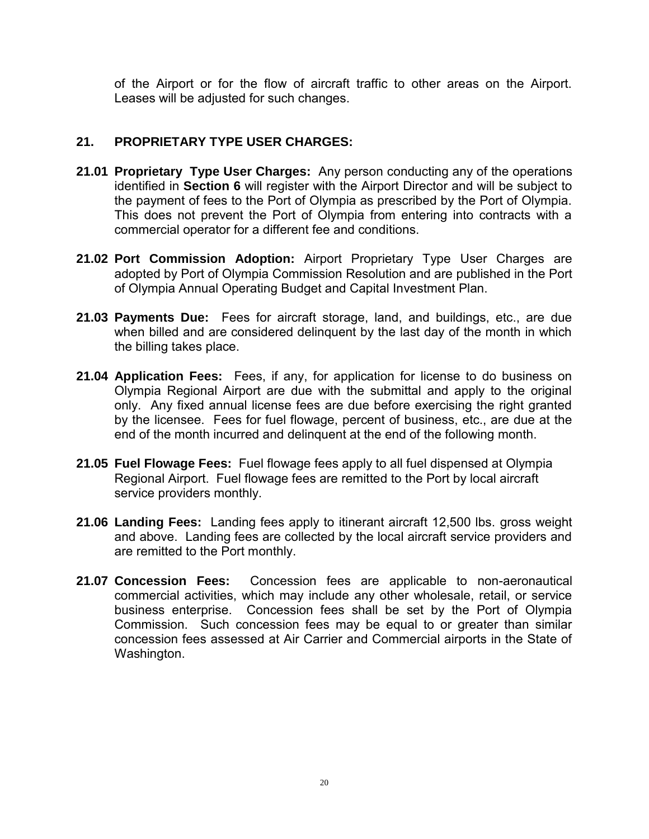of the Airport or for the flow of aircraft traffic to other areas on the Airport. Leases will be adjusted for such changes.

# **21. PROPRIETARY TYPE USER CHARGES:**

- **21.01 Proprietary Type User Charges:** Any person conducting any of the operations identified in **Section 6** will register with the Airport Director and will be subject to the payment of fees to the Port of Olympia as prescribed by the Port of Olympia. This does not prevent the Port of Olympia from entering into contracts with a commercial operator for a different fee and conditions.
- **21.02 Port Commission Adoption:** Airport Proprietary Type User Charges are adopted by Port of Olympia Commission Resolution and are published in the Port of Olympia Annual Operating Budget and Capital Investment Plan.
- **21.03 Payments Due:** Fees for aircraft storage, land, and buildings, etc., are due when billed and are considered delinquent by the last day of the month in which the billing takes place.
- **21.04 Application Fees:** Fees, if any, for application for license to do business on Olympia Regional Airport are due with the submittal and apply to the original only. Any fixed annual license fees are due before exercising the right granted by the licensee. Fees for fuel flowage, percent of business, etc., are due at the end of the month incurred and delinquent at the end of the following month.
- **21.05 Fuel Flowage Fees:** Fuel flowage fees apply to all fuel dispensed at Olympia Regional Airport. Fuel flowage fees are remitted to the Port by local aircraft service providers monthly.
- **21.06 Landing Fees:** Landing fees apply to itinerant aircraft 12,500 lbs. gross weight and above. Landing fees are collected by the local aircraft service providers and are remitted to the Port monthly.
- **21.07 Concession Fees:** Concession fees are applicable to non-aeronautical commercial activities, which may include any other wholesale, retail, or service business enterprise. Concession fees shall be set by the Port of Olympia Commission. Such concession fees may be equal to or greater than similar concession fees assessed at Air Carrier and Commercial airports in the State of Washington.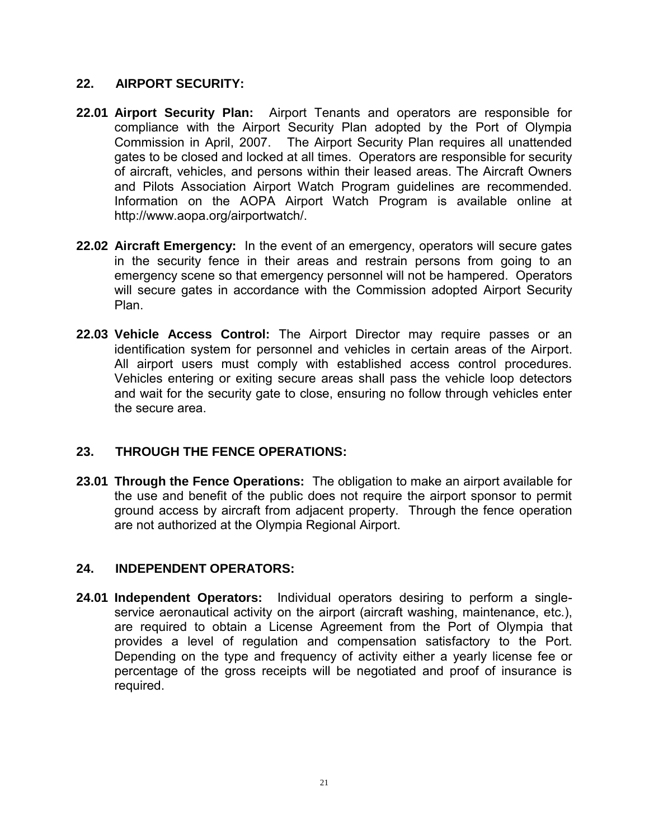## **22. AIRPORT SECURITY:**

- **22.01 Airport Security Plan:** Airport Tenants and operators are responsible for compliance with the Airport Security Plan adopted by the Port of Olympia Commission in April, 2007. The Airport Security Plan requires all unattended gates to be closed and locked at all times. Operators are responsible for security of aircraft, vehicles, and persons within their leased areas. The Aircraft Owners and Pilots Association Airport Watch Program guidelines are recommended. Information on the AOPA Airport Watch Program is available online at http://www.aopa.org/airportwatch/.
- **22.02 Aircraft Emergency:** In the event of an emergency, operators will secure gates in the security fence in their areas and restrain persons from going to an emergency scene so that emergency personnel will not be hampered. Operators will secure gates in accordance with the Commission adopted Airport Security Plan.
- **22.03 Vehicle Access Control:** The Airport Director may require passes or an identification system for personnel and vehicles in certain areas of the Airport. All airport users must comply with established access control procedures. Vehicles entering or exiting secure areas shall pass the vehicle loop detectors and wait for the security gate to close, ensuring no follow through vehicles enter the secure area.

# **23. THROUGH THE FENCE OPERATIONS:**

**23.01 Through the Fence Operations:** The obligation to make an airport available for the use and benefit of the public does not require the airport sponsor to permit ground access by aircraft from adjacent property. Through the fence operation are not authorized at the Olympia Regional Airport.

## **24. INDEPENDENT OPERATORS:**

**24.01 Independent Operators:** Individual operators desiring to perform a singleservice aeronautical activity on the airport (aircraft washing, maintenance, etc.), are required to obtain a License Agreement from the Port of Olympia that provides a level of regulation and compensation satisfactory to the Port. Depending on the type and frequency of activity either a yearly license fee or percentage of the gross receipts will be negotiated and proof of insurance is required.